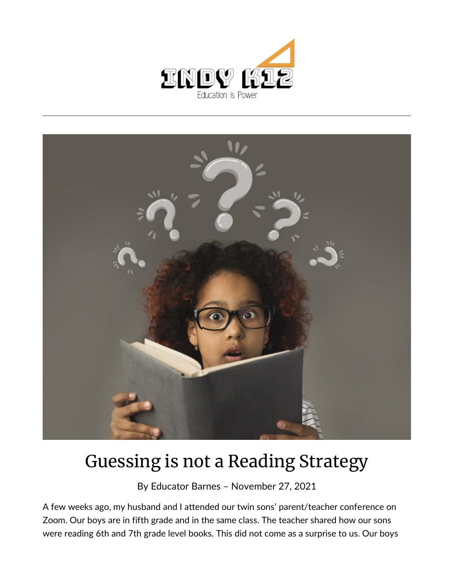



## Guessing is not a Reading Strategy

By [Educator Barnes](https://indy.education/author/shicole/) – November 27, 2021

A few weeks ago, my husband and I attended our twin sons' parent/teacher conference on Zoom. Our boys are in fifth grade and in the same class. The teacher shared how our sons were reading 6th and 7th grade level books. This did not come as a surprise to us. Our boys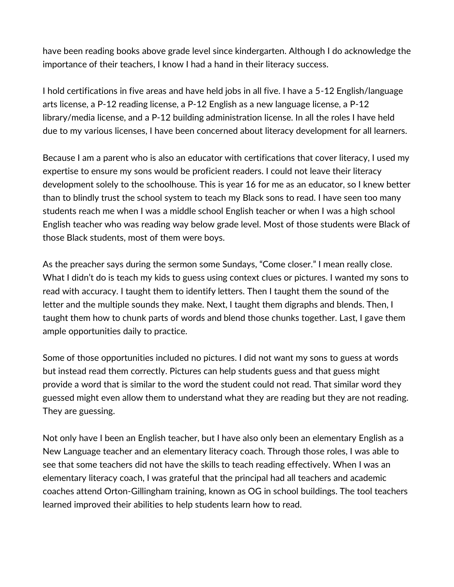have been reading books above grade level since kindergarten. Although I do acknowledge the importance of their teachers, I know I had a hand in their literacy success.

I hold certifications in five areas and have held jobs in all five. I have a 5-12 English/language arts license, a P-12 reading license, a P-12 English as a new language license, a P-12 library/media license, and a P-12 building administration license. In all the roles I have held due to my various licenses, I have been concerned about literacy development for all learners.

Because I am a parent who is also an educator with certifications that cover literacy, I used my expertise to ensure my sons would be proficient readers. I could not leave their literacy development solely to the schoolhouse. This is year 16 for me as an educator, so I knew better than to blindly trust the school system to teach my Black sons to read. I have seen too many students reach me when I was a middle school English teacher or when I was a high school English teacher who was reading way below grade level. Most of those students were Black of those Black students, most of them were boys.

As the preacher says during the sermon some Sundays, "Come closer." I mean really close. What I didn't do is teach my kids to guess using context clues or pictures. I wanted my sons to read with accuracy. I taught them to identify letters. Then I taught them the sound of the letter and the multiple sounds they make. Next, I taught them digraphs and blends. Then, I taught them how to chunk parts of words and blend those chunks together. Last, I gave them ample opportunities daily to practice.

Some of those opportunities included no pictures. I did not want my sons to guess at words but instead read them correctly. Pictures can help students guess and that guess might provide a word that is similar to the word the student could not read. That similar word they guessed might even allow them to understand what they are reading but they are not reading. They are guessing.

Not only have I been an English teacher, but I have also only been an elementary English as a New Language teacher and an elementary literacy coach. Through those roles, I was able to see that some teachers did not have the skills to teach reading effectively. When I was an elementary literacy coach, I was grateful that the principal had all teachers and academic coaches attend Orton-Gillingham training, known as OG in school buildings. The tool teachers learned improved their abilities to help students learn how to read.